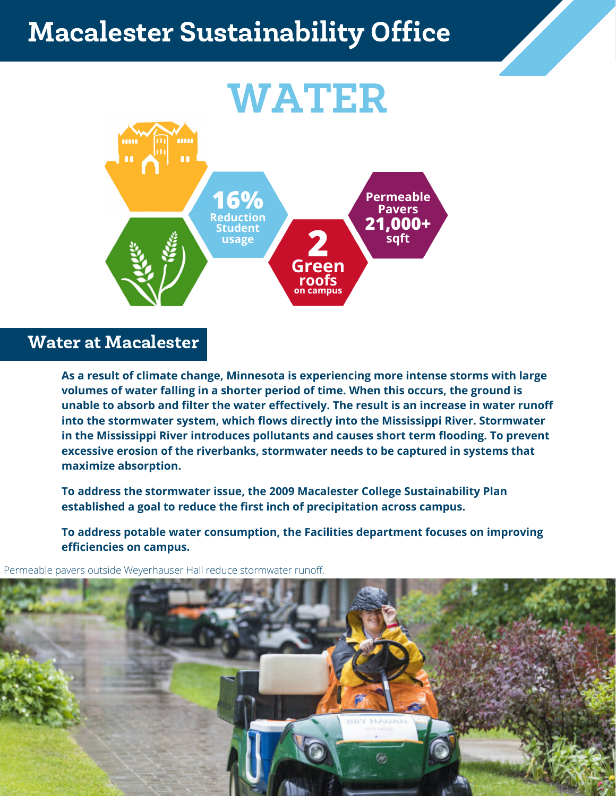## Macalester Sustainability Office



## Water at Macalester

**As a result of climate change, Minnesota is experiencing more intense storms with large volumes of water falling in a shorter period of time. When this occurs, the ground is unable to absorb and filter the water effectively. The result is an increase in water runoff into the stormwater system, which flows directly into the Mississippi River. Stormwater in the Mississippi River introduces pollutants and causes short term flooding. To prevent excessive erosion of the riverbanks, stormwater needs to be captured in systems that maximize absorption.**

**To address the stormwater issue, the 2009 Macalester College Sustainability Plan established a goal to reduce the first inch of precipitation across campus.**

**To address potable water consumption, the Facilities department focuses on improving efficiencies on campus.**

Permeable pavers outside Weyerhauser Hall reduce stormwater runoff.